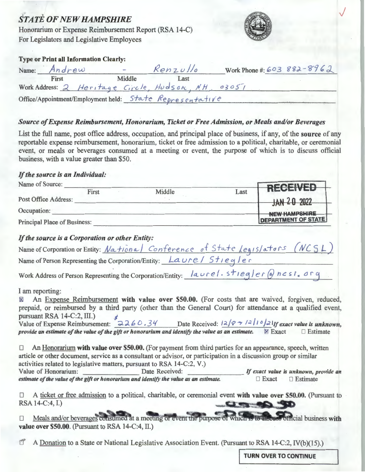### **STATE OF NEW HAMPSHIRE**

Honorarium or Expense Reimbursement Report (RSA 14-C) For Legislators and Legislative Employees



#### **Type or Print all Information Clearly:**

| Name: Andrew | $\sim$                                                   | Renzullo | Work Phone #: 603 882-8962 |  |
|--------------|----------------------------------------------------------|----------|----------------------------|--|
| First        | Middle                                                   | Last     |                            |  |
|              | Work Address: 2 Heritage Circle, Hudson, NH, 03051       |          |                            |  |
|              | Office/Appointment/Employment held: State Representative |          |                            |  |

#### Source of Expense Reimbursement, Honorarium, Ticket or Free Admission, or Meals and/or Beverages

List the full name, post office address, occupation, and principal place of business, if any, of the source of any reportable expense reimbursement, honorarium, ticket or free admission to a political, charitable, or ceremonial event, or meals or beverages consumed at a meeting or event, the purpose of which is to discuss official business, with a value greater than \$50.

#### If the source is an Individual:

| Name of Source:                     |       |        |                            |                 |
|-------------------------------------|-------|--------|----------------------------|-----------------|
|                                     | First | Middle | Last                       | <b>RECEIVED</b> |
| Post Office Address:                |       |        |                            | JAN 20 2022     |
| Occupation:                         |       |        |                            | NEW HAMPSHIRE   |
| <b>Principal Place of Business:</b> |       |        | <b>DEPARTMENT OF STATE</b> |                 |

### If the source is a Corporation or other Entity:

| Name of Corporation or Entity: National Conference of State Legislators (NCSL) |  |  |
|--------------------------------------------------------------------------------|--|--|
| Name of Person Representing the Corporation/Entity: Laure/ $5$ tieqler         |  |  |

Work Address of Person Representing the Corporation/Entity: laurel.stiegler@ncsi.org

#### I am reporting:

An Expense Reimbursement with value over \$50.00. (For costs that are waived, forgiven, reduced,  $\boxtimes$ prepaid, or reimbursed by a third party (other than the General Court) for attendance at a qualified event, pursuant RSA 14-C:2, III.) Value of Expense Reimbursement:  $3260.34$  Date Received:  $12/8 = 12/1021$  If exact value is unknown. provide an estimate of the value of the gift or honorarium and identify the value as an estimate.  $\boxtimes$  Exact  $\Box$  Estimate

An Honorarium with value over \$50.00. (For payment from third parties for an appearance, speech, written  $\Box$ article or other document, service as a consultant or advisor, or participation in a discussion group or similar activities related to legislative matters, pursuant to RSA 14-C:2, V.) Value of Honorarium: Date Received: If exact value is unknown, provide an estimate of the value of the gift or honorarium and identify the value as an estimate.  $\Box$  Exact  $\Box$  Estimate

A ticket or free admission to a political, charitable, or ceremonial event with value over \$50.00. (Pursuant to  $\Box$ RSA 14-C:4, I.)  $\mathbf{C} = \mathbf{C} \mathbf{C}$ 

Meals and/or beverages consumed at a meeting or event the purpose of which is to discuss official business with  $\Box$ value over \$50.00. (Pursuant to RSA 14-C:4, II.)

 $\mathbb{T}^*$ A Donation to a State or National Legislative Association Event. (Pursuant to RSA 14-C:2, IV(b)(15).)

**TURN OVER TO CONTINUE**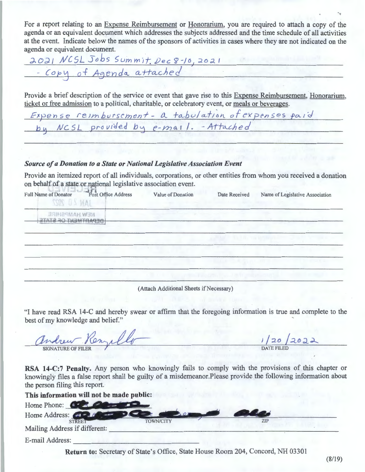For a report relating to an Expense Reimbursement or Honorarium, you are required to attach a copy of the agenda or an equivalent document which addresses the subjects addressed and the time schedule of all activities at the event. Indicate below the names of the sponsors of activities in cases where they are not indicated on the agenda or equivalent document.

2021 NCSL Jobs Summit. *Dec 8-10*, 2021

Provide a brief description of the service or event that gave rise to this Expense Reimbursement, Honorarium, ticket or free admission to a political, charitable, or celebratory event, or meals or beverages.

Fxpense reimburscment - a tabulation of expenses paid<br>by NCSL provided by e-mail. - Attached

#### *Source of a Donation to a State or National Legislative Association Event*

Provide an itemized report of all individuals, corporations, or other entities from whom you received a donation on behalf of a state or national legislative association event.

| Full Name of Donator Post Office Address<br>JAN 20 2027 | Value of Donation                        | Date Received            | Name of Legislative Association |
|---------------------------------------------------------|------------------------------------------|--------------------------|---------------------------------|
| NEW HAMPSHIRE<br>OEPARTMENT OF STATE                    |                                          |                          |                                 |
|                                                         |                                          | ALCOHOL: TRANSVILLENCIAL |                                 |
|                                                         |                                          |                          |                                 |
|                                                         | <b>CERTIFICATE FROM THE SECOND STATE</b> |                          |                                 |

(Attach Additional Sheets if Necessary)

"I have read RSA 14-C and hereby swear or affirm that the foregoing information is true and complete to the best of my knowledge and belief." '

| andrew!<br>- Kenze.       | 12022             |
|---------------------------|-------------------|
| <b>SIGNATURE OF FILER</b> | <b>DATE FILED</b> |

**RSA 14-C:7 Penalty.** Any person who knowingly fails to comply with the provisions of this chapter or knowingly files a false report shall be guilty of a misdemeanor.Please provide the following information about the person filing this report.

**Return to:** Secretary of State's Office, State House Room 204, Concord, NH 03301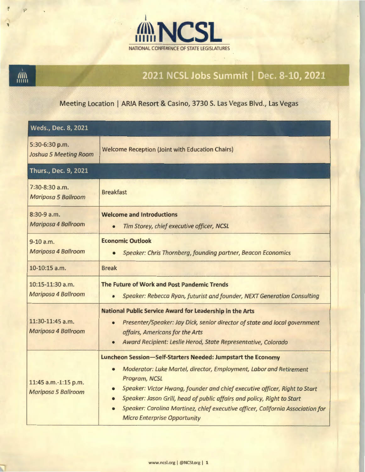

'

**AND** 

## 2021 NCSL Jobs Summit | Dec. 8-10, 2021

### Meeting Location | ARIA Resort & Casino, 3730 S. Las Vegas Blvd., Las Vegas

| Weds., Dec. 8, 2021                                |                                                                                                                                                                                                                                                                                                                                                                                                                                                                  |  |  |  |
|----------------------------------------------------|------------------------------------------------------------------------------------------------------------------------------------------------------------------------------------------------------------------------------------------------------------------------------------------------------------------------------------------------------------------------------------------------------------------------------------------------------------------|--|--|--|
| 5:30-6:30 p.m.<br>Joshua 5 Meeting Room            | <b>Welcome Reception (Joint with Education Chairs)</b>                                                                                                                                                                                                                                                                                                                                                                                                           |  |  |  |
| Thurs., Dec. 9, 2021                               |                                                                                                                                                                                                                                                                                                                                                                                                                                                                  |  |  |  |
| $7:30-8:30$ a.m.<br>Mariposa 5 Ballroom            | <b>Breakfast</b>                                                                                                                                                                                                                                                                                                                                                                                                                                                 |  |  |  |
| $8:30-9a.m.$<br>Mariposa 4 Ballroom                | <b>Welcome and Introductions</b><br>Tim Storey, chief executive officer, NCSL<br>$\bullet$                                                                                                                                                                                                                                                                                                                                                                       |  |  |  |
| $9-10 a.m.$<br>Mariposa 4 Ballroom                 | <b>Economic Outlook</b><br>Speaker: Chris Thornberg, founding partner, Beacon Economics                                                                                                                                                                                                                                                                                                                                                                          |  |  |  |
| 10-10:15 a.m.                                      | <b>Break</b>                                                                                                                                                                                                                                                                                                                                                                                                                                                     |  |  |  |
| $10:15-11:30$ a.m.<br>Mariposa 4 Ballroom          | The Future of Work and Post Pandemic Trends<br>Speaker: Rebecca Ryan, futurist and founder, NEXT Generation Consulting<br>$\bullet$                                                                                                                                                                                                                                                                                                                              |  |  |  |
| 11:30-11:45 a.m.<br>Mariposa 4 Ballroom            | National Public Service Award for Leadership in the Arts<br>Presenter/Speaker: Jay Dick, senior director of state and local government<br>$\bullet$<br>affairs, Americans for the Arts<br>Award Recipient: Leslie Herod, State Representative, Colorado<br>$\bullet$                                                                                                                                                                                             |  |  |  |
| 11:45 a.m.-1:15 p.m.<br><b>Mariposa 5 Ballroom</b> | Luncheon Session-Self-Starters Needed: Jumpstart the Economy<br>Moderator: Luke Martel, director, Employment, Labor and Retirement<br>$\bullet$<br>Program, NCSL<br>Speaker: Victor Hwang, founder and chief executive officer, Right to Start<br>$\bullet$<br>Speaker: Jason Grill, head of public affairs and policy, Right to Start<br>Speaker: Carolina Martinez, chief executive officer, California Association for<br><b>Micro Enterprise Opportunity</b> |  |  |  |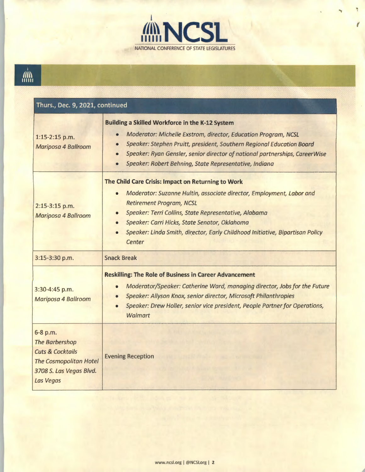

F

# 

| Thurs., Dec. 9, 2021, continued                                                                                                           |                                                                                                                                                                                                                                                                                                                                                                                 |  |  |  |
|-------------------------------------------------------------------------------------------------------------------------------------------|---------------------------------------------------------------------------------------------------------------------------------------------------------------------------------------------------------------------------------------------------------------------------------------------------------------------------------------------------------------------------------|--|--|--|
| 1:15-2:15 p.m.<br><b>Mariposa 4 Ballroom</b>                                                                                              | <b>Building a Skilled Workforce in the K-12 System</b><br>Moderator: Michelle Exstrom, director, Education Program, NCSL<br>$\bullet$<br>Speaker: Stephen Pruitt, president, Southern Regional Education Board<br>Speaker: Ryan Gensler, senior director of national partnerships, CareerWise<br>$\bullet$<br>Speaker: Robert Behning, State Representative, Indiana            |  |  |  |
| 2:15-3:15 p.m.<br>Mariposa 4 Ballroom                                                                                                     | The Child Care Crisis: Impact on Returning to Work<br>Moderator: Suzanne Hultin, associate director, Employment, Labor and<br>$\bullet$<br><b>Retirement Program, NCSL</b><br>Speaker: Terri Collins, State Representative, Alabama<br>Speaker: Carri Hicks, State Senator, Oklahoma<br>Speaker: Linda Smith, director, Early Childhood Initiative, Bipartisan Policy<br>Center |  |  |  |
| 3:15-3:30 p.m.                                                                                                                            | <b>Snack Break</b>                                                                                                                                                                                                                                                                                                                                                              |  |  |  |
| 3:30-4:45 p.m.<br>Mariposa 4 Ballroom                                                                                                     | <b>Reskilling: The Role of Business in Career Advancement</b><br>Moderator/Speaker: Catherine Ward, managing director, Jobs for the Future<br>$\bullet$<br>Speaker: Allyson Knox, senior director, Microsoft Philanthropies<br>Speaker: Drew Holler, senior vice president, People Partner for Operations,<br>Walmart                                                           |  |  |  |
| 6-8 p.m.<br><b>The Barbershop</b><br><b>Cuts &amp; Cocktails</b><br><b>The Cosmopolitan Hotel</b><br>3708 S. Las Vegas Blvd.<br>Las Vegas | <b>Evening Reception</b>                                                                                                                                                                                                                                                                                                                                                        |  |  |  |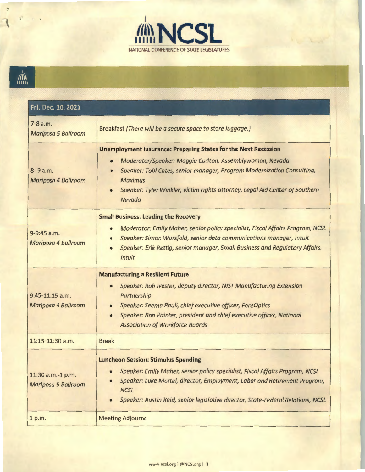

## 

÷

| Fri. Dec. 10, 2021                                 |                                                                                                                                                                                                                                                                                                                                         |
|----------------------------------------------------|-----------------------------------------------------------------------------------------------------------------------------------------------------------------------------------------------------------------------------------------------------------------------------------------------------------------------------------------|
| 7-8 a.m.<br>Mariposa 5 Ballroom                    | Breakfast (There will be a secure space to store luggage.)                                                                                                                                                                                                                                                                              |
| 8-9 a.m.<br>Mariposa 4 Ballroom                    | <b>Unemployment Insurance: Preparing States for the Next Recession</b><br>Moderator/Speaker: Maggie Carlton, Assemblywoman, Nevada<br>Speaker: Tobi Cates, senior manager, Program Modernization Consulting,<br><b>Maximus</b><br>Speaker: Tyler Winkler, victim rights attorney, Legal Aid Center of Southern<br>Nevada                |
| 9-9:45 a.m.<br>Mariposa 4 Ballroom                 | <b>Small Business: Leading the Recovery</b><br>Moderator: Emily Maher, senior policy specialist, Fiscal Affairs Program, NCSL<br>$\bullet$<br>Speaker: Simon Worsfold, senior data communications manager, Intuit<br>Speaker: Erik Rettig, senior manager, Small Business and Regulatory Affairs,<br><b>Intuit</b>                      |
| $9:45-11:15$ a.m.<br>Mariposa 4 Ballroom           | <b>Manufacturing a Resilient Future</b><br>Speaker: Rob Ivester, deputy director, NIST Manufacturing Extension<br>$\bullet$<br>Partnership<br>Speaker: Seema Phull, chief executive officer, ForeOptics<br>Speaker: Ron Painter, president and chief executive officer, National<br>$\bullet$<br><b>Association of Workforce Boards</b> |
| 11:15-11:30 a.m.                                   | <b>Break</b>                                                                                                                                                                                                                                                                                                                            |
| 11:30 a.m.-1 p.m.<br>Mariposa 5 Ballroom<br>1 p.m. | <b>Luncheon Session: Stimulus Spending</b><br>Speaker: Emily Maher, senior policy specialist, Fiscal Affairs Program, NCSL<br>Speaker: Luke Martel, director, Employment, Labor and Retirement Program,<br><b>NCSL</b><br>Speaker: Austin Reid, senior legislative director, State-Federal Relations, NCSL<br><b>Meeting Adjourns</b>   |